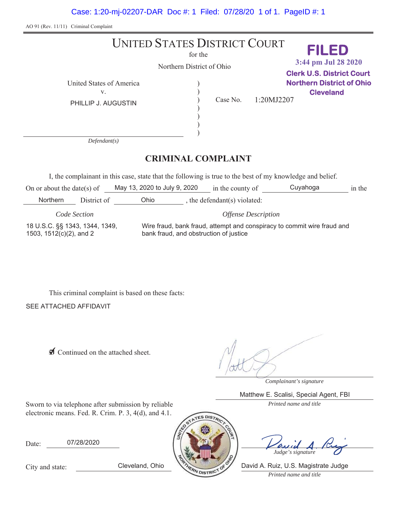Case: 1:20-mj-02207-DAR Doc #: 1 Filed: 07/28/20 1 of 1. PageID #: 1

AO 91 (Rev. 11/11) Criminal Complaint

#### UNITED STATES DISTRICT COURT for the Northern District of Ohio United States of America  $\mathcal{E}$  $\mathcal{E}$  $\mathcal{E}$  $\mathcal{E}$  $\mathcal{E}$  $\mathcal{E}$ Y Case No. *Defendant(s)* **CRIMINAL COMPLAINT** PHILLIP J. AUGUSTIN 1:20MJ2207 **FILED Clerk U.S. District Court Northern District of Ohio Cleveland 3:44 pm Jul 28 2020**

I, the complainant in this case, state that the following is true to the best of my knowledge and belief.

| On or about the date(s) of                                |             | May 13, 2020 to July 9, 2020 |                                                                                                                   | in the county of           | Cuyahoga | in the |  |  |
|-----------------------------------------------------------|-------------|------------------------------|-------------------------------------------------------------------------------------------------------------------|----------------------------|----------|--------|--|--|
| <b>Northern</b>                                           | District of | Ohio                         |                                                                                                                   | the defendant(s) violated: |          |        |  |  |
| Code Section                                              |             | <b>Offense Description</b>   |                                                                                                                   |                            |          |        |  |  |
| 18 U.S.C. §§ 1343, 1344, 1349,<br>1503, 1512(c)(2), and 2 |             |                              | Wire fraud, bank fraud, attempt and conspiracy to commit wire fraud and<br>bank fraud, and obstruction of justice |                            |          |        |  |  |

This criminal complaint is based on these facts:

**SEE ATTACHED AFFIDAVIT** 

**Ø** Continued on the attached sheet.

*Complainant's signature*

Matthew E. Scalisi, Special Agent, FBI

Sworn to via telephone after submission by reliable *Printed name and title* electronic means. Fed. R. Crim. P. 3, 4(d), and 4.1.

Date: 07/28/2020

*Judge's signature*

*Printed name and title* Cleveland, Ohio The Prince of David A. Ruiz, U.S. Magistrate Judge

City and state: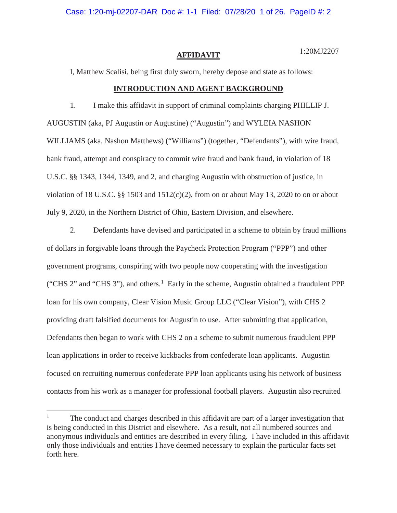Case: 1:20-mj-02207-DAR Doc #: 1-1 Filed: 07/28/20 1 of 26. PageID #: 2

#### **AFFIDAVIT**

1:20MJ2207

I, Matthew Scalisi, being first duly sworn, hereby depose and state as follows:

### **INTRODUCTION AND AGENT BACKGROUND**

1. I make this affidavit in support of criminal complaints charging PHILLIP J. AUGUSTIN (aka, PJ Augustin or Augustine) ("Augustin") and WYLEIA NASHON WILLIAMS (aka, Nashon Matthews) ("Williams") (together, "Defendants"), with wire fraud, bank fraud, attempt and conspiracy to commit wire fraud and bank fraud, in violation of 18 U.S.C. §§ 1343, 1344, 1349, and 2, and charging Augustin with obstruction of justice, in violation of 18 U.S.C. §§ 1503 and  $1512(c)(2)$ , from on or about May 13, 2020 to on or about July 9, 2020, in the Northern District of Ohio, Eastern Division, and elsewhere.

2. Defendants have devised and participated in a scheme to obtain by fraud millions of dollars in forgivable loans through the Paycheck Protection Program ("PPP") and other government programs, conspiring with two people now cooperating with the investigation ("CHS 2" and "CHS 3"), and others.<sup>1</sup> Early in the scheme, Augustin obtained a fraudulent PPP loan for his own company, Clear Vision Music Group LLC ("Clear Vision"), with CHS 2 providing draft falsified documents for Augustin to use. After submitting that application, Defendants then began to work with CHS 2 on a scheme to submit numerous fraudulent PPP loan applications in order to receive kickbacks from confederate loan applicants. Augustin focused on recruiting numerous confederate PPP loan applicants using his network of business contacts from his work as a manager for professional football players. Augustin also recruited

<sup>&</sup>lt;sup>1</sup> The conduct and charges described in this affidavit are part of a larger investigation that is being conducted in this District and elsewhere. As a result, not all numbered sources and anonymous individuals and entities are described in every filing. I have included in this affidavit only those individuals and entities I have deemed necessary to explain the particular facts set forth here.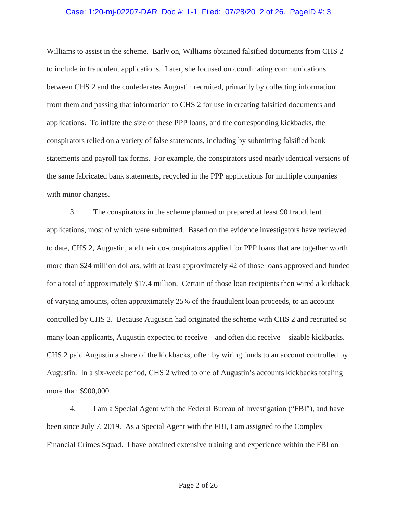#### Case: 1:20-mj-02207-DAR Doc #: 1-1 Filed: 07/28/20 2 of 26. PageID #: 3

Williams to assist in the scheme. Early on, Williams obtained falsified documents from CHS 2 to include in fraudulent applications. Later, she focused on coordinating communications between CHS 2 and the confederates Augustin recruited, primarily by collecting information from them and passing that information to CHS 2 for use in creating falsified documents and applications. To inflate the size of these PPP loans, and the corresponding kickbacks, the conspirators relied on a variety of false statements, including by submitting falsified bank statements and payroll tax forms. For example, the conspirators used nearly identical versions of the same fabricated bank statements, recycled in the PPP applications for multiple companies with minor changes.

3. The conspirators in the scheme planned or prepared at least 90 fraudulent applications, most of which were submitted. Based on the evidence investigators have reviewed to date, CHS 2, Augustin, and their co-conspirators applied for PPP loans that are together worth more than \$24 million dollars, with at least approximately 42 of those loans approved and funded for a total of approximately \$17.4 million. Certain of those loan recipients then wired a kickback of varying amounts, often approximately 25% of the fraudulent loan proceeds, to an account controlled by CHS 2. Because Augustin had originated the scheme with CHS 2 and recruited so many loan applicants, Augustin expected to receive—and often did receive—sizable kickbacks. CHS 2 paid Augustin a share of the kickbacks, often by wiring funds to an account controlled by Augustin. In a six-week period, CHS 2 wired to one of Augustin's accounts kickbacks totaling more than \$900,000.

4. I am a Special Agent with the Federal Bureau of Investigation ("FBI"), and have been since July 7, 2019. As a Special Agent with the FBI, I am assigned to the Complex Financial Crimes Squad. I have obtained extensive training and experience within the FBI on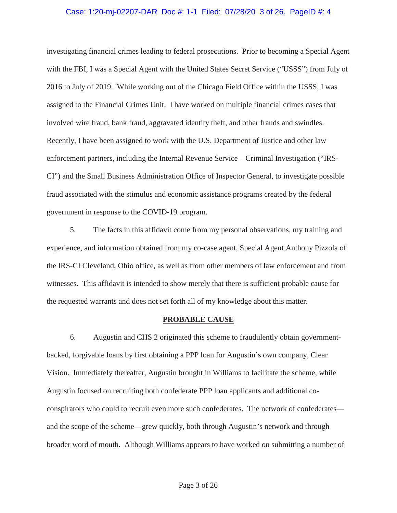#### Case: 1:20-mj-02207-DAR Doc #: 1-1 Filed: 07/28/20 3 of 26. PageID #: 4

investigating financial crimes leading to federal prosecutions. Prior to becoming a Special Agent with the FBI, I was a Special Agent with the United States Secret Service ("USSS") from July of 2016 to July of 2019. While working out of the Chicago Field Office within the USSS, I was assigned to the Financial Crimes Unit. I have worked on multiple financial crimes cases that involved wire fraud, bank fraud, aggravated identity theft, and other frauds and swindles. Recently, I have been assigned to work with the U.S. Department of Justice and other law enforcement partners, including the Internal Revenue Service – Criminal Investigation ("IRS-CI") and the Small Business Administration Office of Inspector General, to investigate possible fraud associated with the stimulus and economic assistance programs created by the federal government in response to the COVID-19 program.

5. The facts in this affidavit come from my personal observations, my training and experience, and information obtained from my co-case agent, Special Agent Anthony Pizzola of the IRS-CI Cleveland, Ohio office, as well as from other members of law enforcement and from witnesses. This affidavit is intended to show merely that there is sufficient probable cause for the requested warrants and does not set forth all of my knowledge about this matter.

#### **PROBABLE CAUSE**

6. Augustin and CHS 2 originated this scheme to fraudulently obtain governmentbacked, forgivable loans by first obtaining a PPP loan for Augustin's own company, Clear Vision. Immediately thereafter, Augustin brought in Williams to facilitate the scheme, while Augustin focused on recruiting both confederate PPP loan applicants and additional coconspirators who could to recruit even more such confederates. The network of confederates and the scope of the scheme—grew quickly, both through Augustin's network and through broader word of mouth. Although Williams appears to have worked on submitting a number of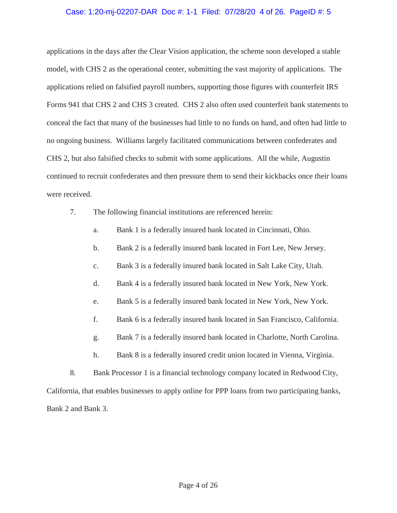## Case: 1:20-mj-02207-DAR Doc #: 1-1 Filed: 07/28/20 4 of 26. PageID #: 5

applications in the days after the Clear Vision application, the scheme soon developed a stable model, with CHS 2 as the operational center, submitting the vast majority of applications. The applications relied on falsified payroll numbers, supporting those figures with counterfeit IRS Forms 941 that CHS 2 and CHS 3 created. CHS 2 also often used counterfeit bank statements to conceal the fact that many of the businesses had little to no funds on hand, and often had little to no ongoing business. Williams largely facilitated communications between confederates and CHS 2, but also falsified checks to submit with some applications. All the while, Augustin continued to recruit confederates and then pressure them to send their kickbacks once their loans were received.

- 7. The following financial institutions are referenced herein:
	- a. Bank 1 is a federally insured bank located in Cincinnati, Ohio.
	- b. Bank 2 is a federally insured bank located in Fort Lee, New Jersey.
	- c. Bank 3 is a federally insured bank located in Salt Lake City, Utah.
	- d. Bank 4 is a federally insured bank located in New York, New York.
	- e. Bank 5 is a federally insured bank located in New York, New York.
	- f. Bank 6 is a federally insured bank located in San Francisco, California.
	- g. Bank 7 is a federally insured bank located in Charlotte, North Carolina.
	- h. Bank 8 is a federally insured credit union located in Vienna, Virginia.
- 8. Bank Processor 1 is a financial technology company located in Redwood City,

California, that enables businesses to apply online for PPP loans from two participating banks, Bank 2 and Bank 3.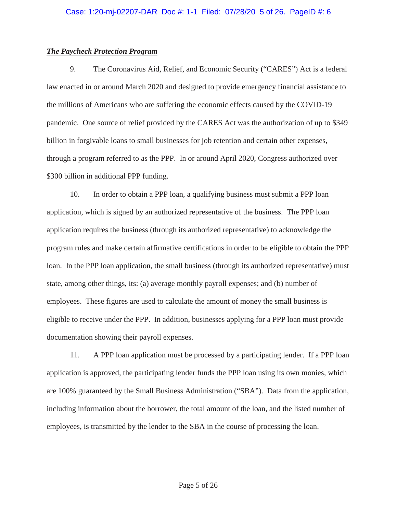# *The Paycheck Protection Program*

9. The Coronavirus Aid, Relief, and Economic Security ("CARES") Act is a federal law enacted in or around March 2020 and designed to provide emergency financial assistance to the millions of Americans who are suffering the economic effects caused by the COVID-19 pandemic. One source of relief provided by the CARES Act was the authorization of up to \$349 billion in forgivable loans to small businesses for job retention and certain other expenses, through a program referred to as the PPP. In or around April 2020, Congress authorized over \$300 billion in additional PPP funding.

10. In order to obtain a PPP loan, a qualifying business must submit a PPP loan application, which is signed by an authorized representative of the business. The PPP loan application requires the business (through its authorized representative) to acknowledge the program rules and make certain affirmative certifications in order to be eligible to obtain the PPP loan. In the PPP loan application, the small business (through its authorized representative) must state, among other things, its: (a) average monthly payroll expenses; and (b) number of employees. These figures are used to calculate the amount of money the small business is eligible to receive under the PPP. In addition, businesses applying for a PPP loan must provide documentation showing their payroll expenses.

11. A PPP loan application must be processed by a participating lender. If a PPP loan application is approved, the participating lender funds the PPP loan using its own monies, which are 100% guaranteed by the Small Business Administration ("SBA"). Data from the application, including information about the borrower, the total amount of the loan, and the listed number of employees, is transmitted by the lender to the SBA in the course of processing the loan.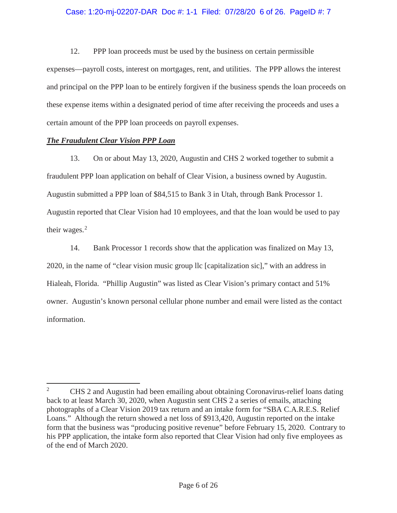# Case: 1:20-mj-02207-DAR Doc #: 1-1 Filed: 07/28/20 6 of 26. PageID #: 7

12. PPP loan proceeds must be used by the business on certain permissible expenses—payroll costs, interest on mortgages, rent, and utilities. The PPP allows the interest and principal on the PPP loan to be entirely forgiven if the business spends the loan proceeds on these expense items within a designated period of time after receiving the proceeds and uses a certain amount of the PPP loan proceeds on payroll expenses.

# *The Fraudulent Clear Vision PPP Loan*

13. On or about May 13, 2020, Augustin and CHS 2 worked together to submit a fraudulent PPP loan application on behalf of Clear Vision, a business owned by Augustin. Augustin submitted a PPP loan of \$84,515 to Bank 3 in Utah, through Bank Processor 1. Augustin reported that Clear Vision had 10 employees, and that the loan would be used to pay their wages.<sup>2</sup>

14. Bank Processor 1 records show that the application was finalized on May 13, 2020, in the name of "clear vision music group llc [capitalization sic]," with an address in Hialeah, Florida. "Phillip Augustin" was listed as Clear Vision's primary contact and 51% owner. Augustin's known personal cellular phone number and email were listed as the contact information.

<sup>&</sup>lt;sup>2</sup> CHS 2 and Augustin had been emailing about obtaining Coronavirus-relief loans dating back to at least March 30, 2020, when Augustin sent CHS 2 a series of emails, attaching photographs of a Clear Vision 2019 tax return and an intake form for "SBA C.A.R.E.S. Relief Loans." Although the return showed a net loss of \$913,420, Augustin reported on the intake form that the business was "producing positive revenue" before February 15, 2020. Contrary to his PPP application, the intake form also reported that Clear Vision had only five employees as of the end of March 2020.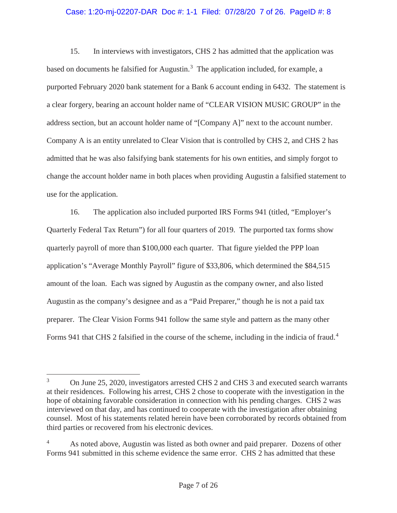### Case: 1:20-mj-02207-DAR Doc #: 1-1 Filed: 07/28/20 7 of 26. PageID #: 8

15. In interviews with investigators, CHS 2 has admitted that the application was based on documents he falsified for Augustin.<sup>3</sup> The application included, for example, a purported February 2020 bank statement for a Bank 6 account ending in 6432. The statement is a clear forgery, bearing an account holder name of "CLEAR VISION MUSIC GROUP" in the address section, but an account holder name of "[Company A]" next to the account number. Company A is an entity unrelated to Clear Vision that is controlled by CHS 2, and CHS 2 has admitted that he was also falsifying bank statements for his own entities, and simply forgot to change the account holder name in both places when providing Augustin a falsified statement to use for the application.

16. The application also included purported IRS Forms 941 (titled, "Employer's Quarterly Federal Tax Return") for all four quarters of 2019. The purported tax forms show quarterly payroll of more than \$100,000 each quarter. That figure yielded the PPP loan application's "Average Monthly Payroll" figure of \$33,806, which determined the \$84,515 amount of the loan. Each was signed by Augustin as the company owner, and also listed Augustin as the company's designee and as a "Paid Preparer," though he is not a paid tax preparer. The Clear Vision Forms 941 follow the same style and pattern as the many other Forms 941 that CHS 2 falsified in the course of the scheme, including in the indicia of fraud.<sup>4</sup>

<sup>&</sup>lt;sup>3</sup> On June 25, 2020, investigators arrested CHS 2 and CHS 3 and executed search warrants at their residences. Following his arrest, CHS 2 chose to cooperate with the investigation in the hope of obtaining favorable consideration in connection with his pending charges. CHS 2 was interviewed on that day, and has continued to cooperate with the investigation after obtaining counsel. Most of his statements related herein have been corroborated by records obtained from third parties or recovered from his electronic devices.

<sup>&</sup>lt;sup>4</sup> As noted above, Augustin was listed as both owner and paid preparer. Dozens of other Forms 941 submitted in this scheme evidence the same error. CHS 2 has admitted that these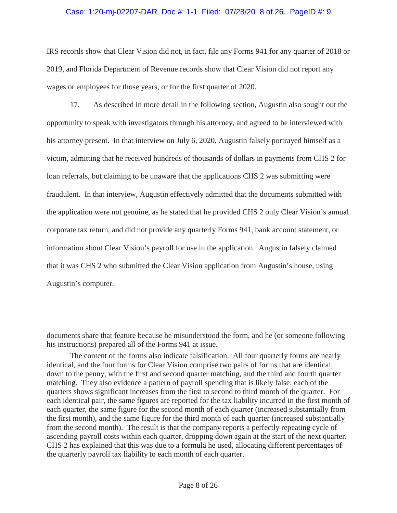# Case: 1:20-mj-02207-DAR Doc #: 1-1 Filed: 07/28/20 8 of 26. PageID #: 9

IRS records show that Clear Vision did not, in fact, file any Forms 941 for any quarter of 2018 or 2019, and Florida Department of Revenue records show that Clear Vision did not report any wages or employees for those years, or for the first quarter of 2020.

17. As described in more detail in the following section, Augustin also sought out the opportunity to speak with investigators through his attorney, and agreed to be interviewed with his attorney present. In that interview on July 6, 2020, Augustin falsely portrayed himself as a victim, admitting that he received hundreds of thousands of dollars in payments from CHS 2 for loan referrals, but claiming to be unaware that the applications CHS 2 was submitting were fraudulent. In that interview, Augustin effectively admitted that the documents submitted with the application were not genuine, as he stated that he provided CHS 2 only Clear Vision's annual corporate tax return, and did not provide any quarterly Forms 941, bank account statement, or information about Clear Vision's payroll for use in the application. Augustin falsely claimed that it was CHS 2 who submitted the Clear Vision application from Augustin's house, using Augustin's computer.

documents share that feature because he misunderstood the form, and he (or someone following his instructions) prepared all of the Forms 941 at issue.

The content of the forms also indicate falsification. All four quarterly forms are nearly identical, and the four forms for Clear Vision comprise two pairs of forms that are identical, down to the penny, with the first and second quarter matching, and the third and fourth quarter matching. They also evidence a pattern of payroll spending that is likely false: each of the quarters shows significant increases from the first to second to third month of the quarter. For each identical pair, the same figures are reported for the tax liability incurred in the first month of each quarter, the same figure for the second month of each quarter (increased substantially from the first month), and the same figure for the third month of each quarter (increased substantially from the second month). The result is that the company reports a perfectly repeating cycle of ascending payroll costs within each quarter, dropping down again at the start of the next quarter. CHS 2 has explained that this was due to a formula he used, allocating different percentages of the quarterly payroll tax liability to each month of each quarter.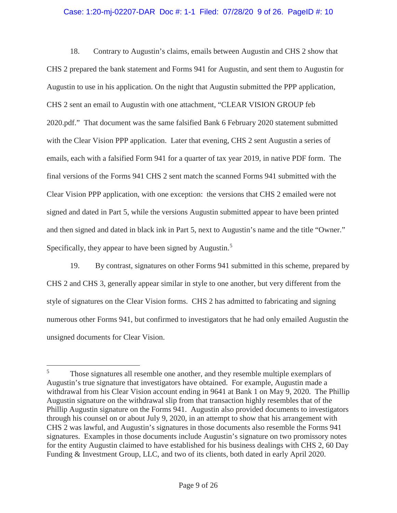# Case: 1:20-mj-02207-DAR Doc #: 1-1 Filed: 07/28/20 9 of 26. PageID #: 10

18. Contrary to Augustin's claims, emails between Augustin and CHS 2 show that CHS 2 prepared the bank statement and Forms 941 for Augustin, and sent them to Augustin for Augustin to use in his application. On the night that Augustin submitted the PPP application, CHS 2 sent an email to Augustin with one attachment, "CLEAR VISION GROUP feb 2020.pdf." That document was the same falsified Bank 6 February 2020 statement submitted with the Clear Vision PPP application. Later that evening, CHS 2 sent Augustin a series of emails, each with a falsified Form 941 for a quarter of tax year 2019, in native PDF form. The final versions of the Forms 941 CHS 2 sent match the scanned Forms 941 submitted with the Clear Vision PPP application, with one exception: the versions that CHS 2 emailed were not signed and dated in Part 5, while the versions Augustin submitted appear to have been printed and then signed and dated in black ink in Part 5, next to Augustin's name and the title "Owner." Specifically, they appear to have been signed by Augustin.<sup>5</sup>

19. By contrast, signatures on other Forms 941 submitted in this scheme, prepared by CHS 2 and CHS 3, generally appear similar in style to one another, but very different from the style of signatures on the Clear Vision forms. CHS 2 has admitted to fabricating and signing numerous other Forms 941, but confirmed to investigators that he had only emailed Augustin the unsigned documents for Clear Vision.

<sup>&</sup>lt;sup>5</sup> Those signatures all resemble one another, and they resemble multiple exemplars of Augustin's true signature that investigators have obtained. For example, Augustin made a withdrawal from his Clear Vision account ending in 9641 at Bank 1 on May 9, 2020. The Phillip Augustin signature on the withdrawal slip from that transaction highly resembles that of the Phillip Augustin signature on the Forms 941. Augustin also provided documents to investigators through his counsel on or about July 9, 2020, in an attempt to show that his arrangement with CHS 2 was lawful, and Augustin's signatures in those documents also resemble the Forms 941 signatures. Examples in those documents include Augustin's signature on two promissory notes for the entity Augustin claimed to have established for his business dealings with CHS 2, 60 Day Funding & Investment Group, LLC, and two of its clients, both dated in early April 2020.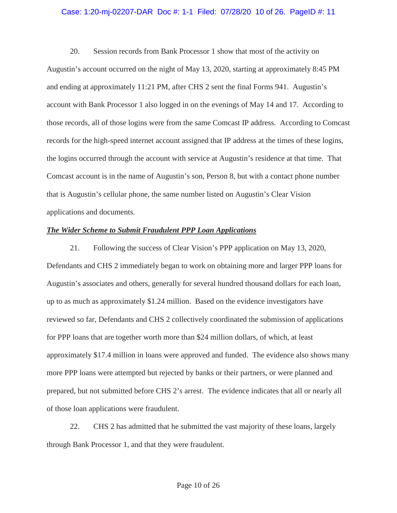### Case: 1:20-mj-02207-DAR Doc #: 1-1 Filed: 07/28/20 10 of 26. PageID #: 11

20. Session records from Bank Processor 1 show that most of the activity on Augustin's account occurred on the night of May 13, 2020, starting at approximately 8:45 PM and ending at approximately 11:21 PM, after CHS 2 sent the final Forms 941. Augustin's account with Bank Processor 1 also logged in on the evenings of May 14 and 17. According to those records, all of those logins were from the same Comcast IP address. According to Comcast records for the high-speed internet account assigned that IP address at the times of these logins, the logins occurred through the account with service at Augustin's residence at that time. That Comcast account is in the name of Augustin's son, Person 8, but with a contact phone number that is Augustin's cellular phone, the same number listed on Augustin's Clear Vision applications and documents.

#### *The Wider Scheme to Submit Fraudulent PPP Loan Applications*

21. Following the success of Clear Vision's PPP application on May 13, 2020, Defendants and CHS 2 immediately began to work on obtaining more and larger PPP loans for Augustin's associates and others, generally for several hundred thousand dollars for each loan, up to as much as approximately \$1.24 million. Based on the evidence investigators have reviewed so far, Defendants and CHS 2 collectively coordinated the submission of applications for PPP loans that are together worth more than \$24 million dollars, of which, at least approximately \$17.4 million in loans were approved and funded. The evidence also shows many more PPP loans were attempted but rejected by banks or their partners, or were planned and prepared, but not submitted before CHS 2's arrest. The evidence indicates that all or nearly all of those loan applications were fraudulent.

22. CHS 2 has admitted that he submitted the vast majority of these loans, largely through Bank Processor 1, and that they were fraudulent.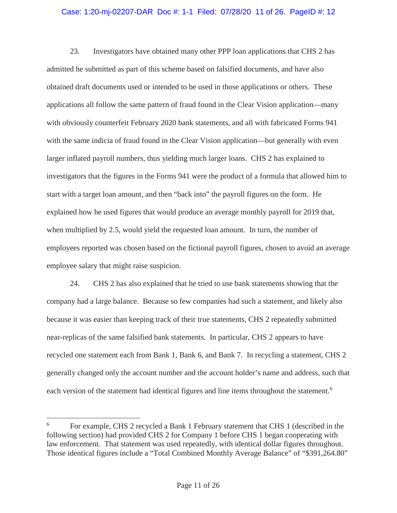# Case: 1:20-mj-02207-DAR Doc #: 1-1 Filed: 07/28/20 11 of 26. PageID #: 12

23. Investigators have obtained many other PPP loan applications that CHS 2 has admitted he submitted as part of this scheme based on falsified documents, and have also obtained draft documents used or intended to be used in those applications or others. These applications all follow the same pattern of fraud found in the Clear Vision application—many with obviously counterfeit February 2020 bank statements, and all with fabricated Forms 941 with the same indicia of fraud found in the Clear Vision application—but generally with even larger inflated payroll numbers, thus yielding much larger loans. CHS 2 has explained to investigators that the figures in the Forms 941 were the product of a formula that allowed him to start with a target loan amount, and then "back into" the payroll figures on the form. He explained how he used figures that would produce an average monthly payroll for 2019 that, when multiplied by 2.5, would yield the requested loan amount. In turn, the number of employees reported was chosen based on the fictional payroll figures, chosen to avoid an average employee salary that might raise suspicion.

24. CHS 2 has also explained that he tried to use bank statements showing that the company had a large balance. Because so few companies had such a statement, and likely also because it was easier than keeping track of their true statements, CHS 2 repeatedly submitted near-replicas of the same falsified bank statements. In particular, CHS 2 appears to have recycled one statement each from Bank 1, Bank 6, and Bank 7. In recycling a statement, CHS 2 generally changed only the account number and the account holder's name and address, such that each version of the statement had identical figures and line items throughout the statement.<sup>6</sup>

<sup>6</sup> For example, CHS 2 recycled a Bank 1 February statement that CHS 1 (described in the following section) had provided CHS 2 for Company 1 before CHS 1 began cooperating with law enforcement. That statement was used repeatedly, with identical dollar figures throughout. Those identical figures include a "Total Combined Monthly Average Balance" of "\$391,264.80"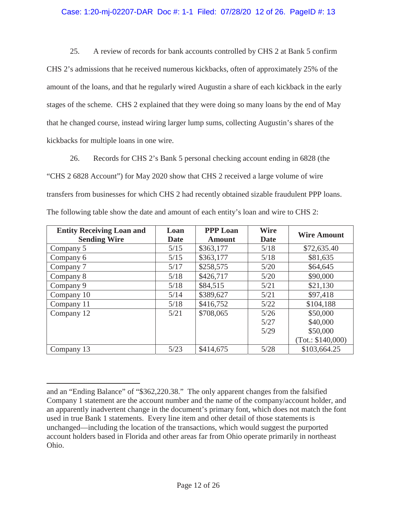# Case: 1:20-mj-02207-DAR Doc #: 1-1 Filed: 07/28/20 12 of 26. PageID #: 13

25. A review of records for bank accounts controlled by CHS 2 at Bank 5 confirm CHS 2's admissions that he received numerous kickbacks, often of approximately 25% of the amount of the loans, and that he regularly wired Augustin a share of each kickback in the early stages of the scheme. CHS 2 explained that they were doing so many loans by the end of May that he changed course, instead wiring larger lump sums, collecting Augustin's shares of the kickbacks for multiple loans in one wire.

26. Records for CHS 2's Bank 5 personal checking account ending in 6828 (the "CHS 2 6828 Account") for May 2020 show that CHS 2 received a large volume of wire transfers from businesses for which CHS 2 had recently obtained sizable fraudulent PPP loans. The following table show the date and amount of each entity's loan and wire to CHS 2:

| <b>Entity Receiving Loan and</b><br><b>Sending Wire</b> | Loan<br><b>Date</b> | <b>PPP Loan</b><br><b>Amount</b> | <b>Wire</b><br>Date | <b>Wire Amount</b> |
|---------------------------------------------------------|---------------------|----------------------------------|---------------------|--------------------|
| Company 5                                               | 5/15                | \$363,177                        | 5/18                | \$72,635.40        |
| Company 6                                               | 5/15                | \$363,177                        | 5/18                | \$81,635           |
| Company 7                                               | 5/17                | \$258,575                        | 5/20                | \$64,645           |
| Company 8                                               | 5/18                | \$426,717                        | 5/20                | \$90,000           |
| Company 9                                               | 5/18                | \$84,515                         | 5/21                | \$21,130           |
| Company 10                                              | 5/14                | \$389,627                        | 5/21                | \$97,418           |
| Company 11                                              | 5/18                | \$416,752                        | 5/22                | \$104,188          |
| Company 12                                              | 5/21                | \$708,065                        | 5/26                | \$50,000           |
|                                                         |                     |                                  | 5/27                | \$40,000           |
|                                                         |                     |                                  | 5/29                | \$50,000           |
|                                                         |                     |                                  |                     | (Tot.: \$140,000)  |
| Company 13                                              | 5/23                | \$414,675                        | 5/28                | \$103,664.25       |

and an "Ending Balance" of "\$362,220.38." The only apparent changes from the falsified Company 1 statement are the account number and the name of the company/account holder, and an apparently inadvertent change in the document's primary font, which does not match the font used in true Bank 1 statements. Every line item and other detail of those statements is unchanged—including the location of the transactions, which would suggest the purported account holders based in Florida and other areas far from Ohio operate primarily in northeast Ohio.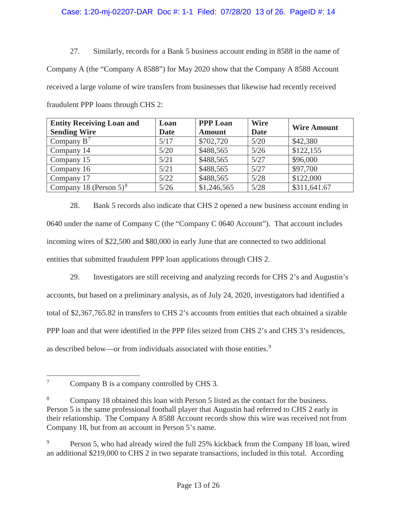# Case: 1:20-mj-02207-DAR Doc #: 1-1 Filed: 07/28/20 13 of 26. PageID #: 14

27. Similarly, records for a Bank 5 business account ending in 8588 in the name of Company A (the "Company A 8588") for May 2020 show that the Company A 8588 Account received a large volume of wire transfers from businesses that likewise had recently received fraudulent PPP loans through CHS 2:

| <b>Entity Receiving Loan and</b><br><b>Sending Wire</b> | Loan<br><b>Date</b> | <b>PPP Loan</b><br><b>Amount</b> | <b>Wire</b><br><b>Date</b> | <b>Wire Amount</b> |
|---------------------------------------------------------|---------------------|----------------------------------|----------------------------|--------------------|
| Company $B^7$                                           | 5/17                | \$702,720                        | 5/20                       | \$42,380           |
| Company 14                                              | 5/20                | \$488,565                        | 5/26                       | \$122,155          |
| Company 15                                              | 5/21                | \$488,565                        | 5/27                       | \$96,000           |
| Company 16                                              | 5/21                | \$488,565                        | 5/27                       | \$97,700           |
| Company 17                                              | 5/22                | \$488,565                        | 5/28                       | \$122,000          |
| Company 18 (Person $5)^8$                               | 5/26                | \$1,246,565                      | 5/28                       | \$311,641.67       |

28. Bank 5 records also indicate that CHS 2 opened a new business account ending in 0640 under the name of Company C (the "Company C 0640 Account"). That account includes incoming wires of \$22,500 and \$80,000 in early June that are connected to two additional entities that submitted fraudulent PPP loan applications through CHS 2.

29. Investigators are still receiving and analyzing records for CHS 2's and Augustin's accounts, but based on a preliminary analysis, as of July 24, 2020, investigators had identified a total of \$2,367,765.82 in transfers to CHS 2's accounts from entities that each obtained a sizable PPP loan and that were identified in the PPP files seized from CHS 2's and CHS 3's residences, as described below—or from individuals associated with those entities.<sup>9</sup>

<sup>&</sup>lt;sup>7</sup> Company B is a company controlled by CHS 3.

<sup>8</sup> Company 18 obtained this loan with Person 5 listed as the contact for the business. Person 5 is the same professional football player that Augustin had referred to CHS 2 early in their relationship. The Company A 8588 Account records show this wire was received not from Company 18, but from an account in Person 5's name.

<sup>&</sup>lt;sup>9</sup> Person 5, who had already wired the full 25% kickback from the Company 18 loan, wired an additional \$219,000 to CHS 2 in two separate transactions, included in this total. According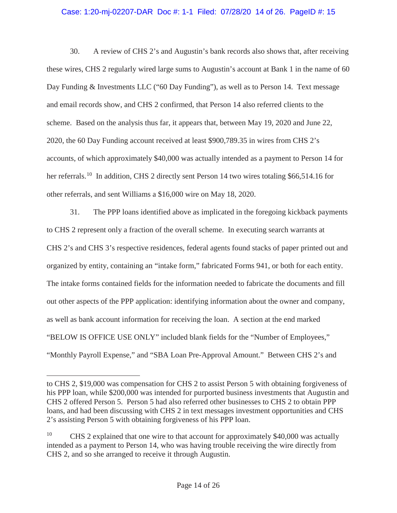# Case: 1:20-mj-02207-DAR Doc #: 1-1 Filed: 07/28/20 14 of 26. PageID #: 15

30. A review of CHS 2's and Augustin's bank records also shows that, after receiving these wires, CHS 2 regularly wired large sums to Augustin's account at Bank 1 in the name of 60 Day Funding & Investments LLC ("60 Day Funding"), as well as to Person 14. Text message and email records show, and CHS 2 confirmed, that Person 14 also referred clients to the scheme. Based on the analysis thus far, it appears that, between May 19, 2020 and June 22, 2020, the 60 Day Funding account received at least \$900,789.35 in wires from CHS 2's accounts, of which approximately \$40,000 was actually intended as a payment to Person 14 for her referrals.<sup>10</sup> In addition, CHS 2 directly sent Person 14 two wires totaling \$66,514.16 for other referrals, and sent Williams a \$16,000 wire on May 18, 2020.

31. The PPP loans identified above as implicated in the foregoing kickback payments to CHS 2 represent only a fraction of the overall scheme. In executing search warrants at CHS 2's and CHS 3's respective residences, federal agents found stacks of paper printed out and organized by entity, containing an "intake form," fabricated Forms 941, or both for each entity. The intake forms contained fields for the information needed to fabricate the documents and fill out other aspects of the PPP application: identifying information about the owner and company, as well as bank account information for receiving the loan. A section at the end marked "BELOW IS OFFICE USE ONLY" included blank fields for the "Number of Employees," "Monthly Payroll Expense," and "SBA Loan Pre-Approval Amount." Between CHS 2's and

to CHS 2, \$19,000 was compensation for CHS 2 to assist Person 5 with obtaining forgiveness of his PPP loan, while \$200,000 was intended for purported business investments that Augustin and CHS 2 offered Person 5. Person 5 had also referred other businesses to CHS 2 to obtain PPP loans, and had been discussing with CHS 2 in text messages investment opportunities and CHS 2's assisting Person 5 with obtaining forgiveness of his PPP loan.

<sup>&</sup>lt;sup>10</sup> CHS 2 explained that one wire to that account for approximately \$40,000 was actually intended as a payment to Person 14, who was having trouble receiving the wire directly from CHS 2, and so she arranged to receive it through Augustin.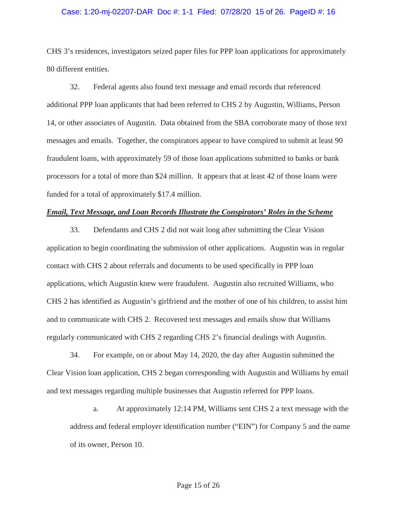#### Case: 1:20-mj-02207-DAR Doc #: 1-1 Filed: 07/28/20 15 of 26. PageID #: 16

CHS 3's residences, investigators seized paper files for PPP loan applications for approximately 80 different entities.

32. Federal agents also found text message and email records that referenced additional PPP loan applicants that had been referred to CHS 2 by Augustin, Williams, Person 14, or other associates of Augustin. Data obtained from the SBA corroborate many of those text messages and emails. Together, the conspirators appear to have conspired to submit at least 90 fraudulent loans, with approximately 59 of those loan applications submitted to banks or bank processors for a total of more than \$24 million. It appears that at least 42 of those loans were funded for a total of approximately \$17.4 million.

# *Email, Text Message, and Loan Records Illustrate the Conspirators' Roles in the Scheme*

33. Defendants and CHS 2 did not wait long after submitting the Clear Vision application to begin coordinating the submission of other applications. Augustin was in regular contact with CHS 2 about referrals and documents to be used specifically in PPP loan applications, which Augustin knew were fraudulent. Augustin also recruited Williams, who CHS 2 has identified as Augustin's girlfriend and the mother of one of his children, to assist him and to communicate with CHS 2. Recovered text messages and emails show that Williams regularly communicated with CHS 2 regarding CHS 2's financial dealings with Augustin.

34. For example, on or about May 14, 2020, the day after Augustin submitted the Clear Vision loan application, CHS 2 began corresponding with Augustin and Williams by email and text messages regarding multiple businesses that Augustin referred for PPP loans.

a. At approximately 12:14 PM, Williams sent CHS 2 a text message with the address and federal employer identification number ("EIN") for Company 5 and the name of its owner, Person 10.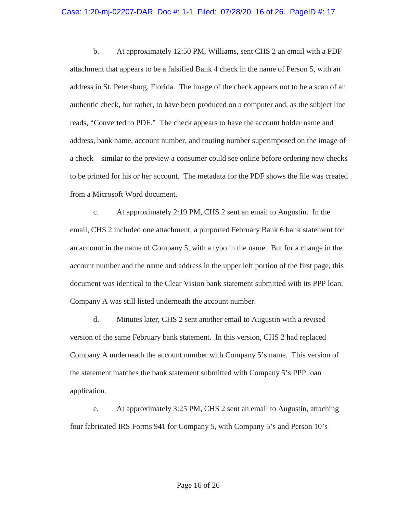#### Case: 1:20-mj-02207-DAR Doc #: 1-1 Filed: 07/28/20 16 of 26. PageID #: 17

b. At approximately 12:50 PM, Williams, sent CHS 2 an email with a PDF attachment that appears to be a falsified Bank 4 check in the name of Person 5, with an address in St. Petersburg, Florida. The image of the check appears not to be a scan of an authentic check, but rather, to have been produced on a computer and, as the subject line reads, "Converted to PDF." The check appears to have the account holder name and address, bank name, account number, and routing number superimposed on the image of a check—similar to the preview a consumer could see online before ordering new checks to be printed for his or her account. The metadata for the PDF shows the file was created from a Microsoft Word document.

c. At approximately 2:19 PM, CHS 2 sent an email to Augustin. In the email, CHS 2 included one attachment, a purported February Bank 6 bank statement for an account in the name of Company 5, with a typo in the name. But for a change in the account number and the name and address in the upper left portion of the first page, this document was identical to the Clear Vision bank statement submitted with its PPP loan. Company A was still listed underneath the account number.

d. Minutes later, CHS 2 sent another email to Augustin with a revised version of the same February bank statement. In this version, CHS 2 had replaced Company A underneath the account number with Company 5's name. This version of the statement matches the bank statement submitted with Company 5's PPP loan application.

e. At approximately 3:25 PM, CHS 2 sent an email to Augustin, attaching four fabricated IRS Forms 941 for Company 5, with Company 5's and Person 10's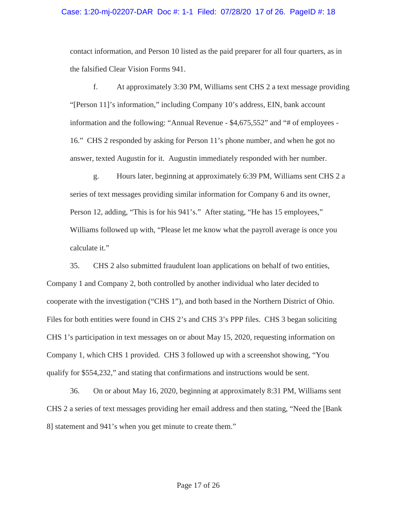#### Case: 1:20-mj-02207-DAR Doc #: 1-1 Filed: 07/28/20 17 of 26. PageID #: 18

contact information, and Person 10 listed as the paid preparer for all four quarters, as in the falsified Clear Vision Forms 941.

f. At approximately 3:30 PM, Williams sent CHS 2 a text message providing "[Person 11]'s information," including Company 10's address, EIN, bank account information and the following: "Annual Revenue - \$4,675,552" and "# of employees - 16." CHS 2 responded by asking for Person 11's phone number, and when he got no answer, texted Augustin for it. Augustin immediately responded with her number.

g. Hours later, beginning at approximately 6:39 PM, Williams sent CHS 2 a series of text messages providing similar information for Company 6 and its owner, Person 12, adding, "This is for his 941's." After stating, "He has 15 employees," Williams followed up with, "Please let me know what the payroll average is once you calculate it."

35. CHS 2 also submitted fraudulent loan applications on behalf of two entities, Company 1 and Company 2, both controlled by another individual who later decided to cooperate with the investigation ("CHS 1"), and both based in the Northern District of Ohio. Files for both entities were found in CHS 2's and CHS 3's PPP files. CHS 3 began soliciting CHS 1's participation in text messages on or about May 15, 2020, requesting information on Company 1, which CHS 1 provided. CHS 3 followed up with a screenshot showing, "You qualify for \$554,232," and stating that confirmations and instructions would be sent.

36. On or about May 16, 2020, beginning at approximately 8:31 PM, Williams sent CHS 2 a series of text messages providing her email address and then stating, "Need the [Bank 8] statement and 941's when you get minute to create them."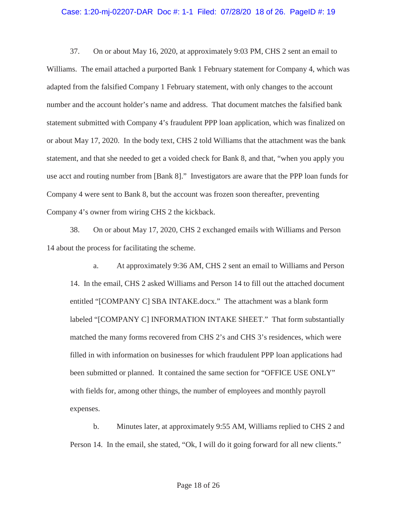#### Case: 1:20-mj-02207-DAR Doc #: 1-1 Filed: 07/28/20 18 of 26. PageID #: 19

37. On or about May 16, 2020, at approximately 9:03 PM, CHS 2 sent an email to Williams. The email attached a purported Bank 1 February statement for Company 4, which was adapted from the falsified Company 1 February statement, with only changes to the account number and the account holder's name and address. That document matches the falsified bank statement submitted with Company 4's fraudulent PPP loan application, which was finalized on or about May 17, 2020. In the body text, CHS 2 told Williams that the attachment was the bank statement, and that she needed to get a voided check for Bank 8, and that, "when you apply you use acct and routing number from [Bank 8]." Investigators are aware that the PPP loan funds for Company 4 were sent to Bank 8, but the account was frozen soon thereafter, preventing Company 4's owner from wiring CHS 2 the kickback.

38. On or about May 17, 2020, CHS 2 exchanged emails with Williams and Person 14 about the process for facilitating the scheme.

a. At approximately 9:36 AM, CHS 2 sent an email to Williams and Person 14. In the email, CHS 2 asked Williams and Person 14 to fill out the attached document entitled "[COMPANY C] SBA INTAKE.docx." The attachment was a blank form labeled "[COMPANY C] INFORMATION INTAKE SHEET." That form substantially matched the many forms recovered from CHS 2's and CHS 3's residences, which were filled in with information on businesses for which fraudulent PPP loan applications had been submitted or planned. It contained the same section for "OFFICE USE ONLY" with fields for, among other things, the number of employees and monthly payroll expenses.

b. Minutes later, at approximately 9:55 AM, Williams replied to CHS 2 and Person 14. In the email, she stated, "Ok, I will do it going forward for all new clients."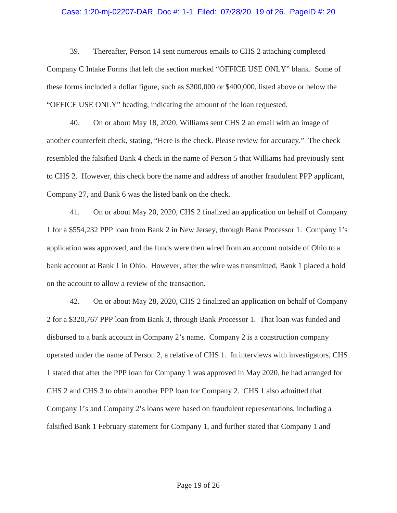#### Case: 1:20-mj-02207-DAR Doc #: 1-1 Filed: 07/28/20 19 of 26. PageID #: 20

39. Thereafter, Person 14 sent numerous emails to CHS 2 attaching completed Company C Intake Forms that left the section marked "OFFICE USE ONLY" blank. Some of these forms included a dollar figure, such as \$300,000 or \$400,000, listed above or below the "OFFICE USE ONLY" heading, indicating the amount of the loan requested.

40. On or about May 18, 2020, Williams sent CHS 2 an email with an image of another counterfeit check, stating, "Here is the check. Please review for accuracy." The check resembled the falsified Bank 4 check in the name of Person 5 that Williams had previously sent to CHS 2. However, this check bore the name and address of another fraudulent PPP applicant, Company 27, and Bank 6 was the listed bank on the check.

41. On or about May 20, 2020, CHS 2 finalized an application on behalf of Company 1 for a \$554,232 PPP loan from Bank 2 in New Jersey, through Bank Processor 1. Company 1's application was approved, and the funds were then wired from an account outside of Ohio to a bank account at Bank 1 in Ohio. However, after the wire was transmitted, Bank 1 placed a hold on the account to allow a review of the transaction.

42. On or about May 28, 2020, CHS 2 finalized an application on behalf of Company 2 for a \$320,767 PPP loan from Bank 3, through Bank Processor 1. That loan was funded and disbursed to a bank account in Company 2's name. Company 2 is a construction company operated under the name of Person 2, a relative of CHS 1. In interviews with investigators, CHS 1 stated that after the PPP loan for Company 1 was approved in May 2020, he had arranged for CHS 2 and CHS 3 to obtain another PPP loan for Company 2. CHS 1 also admitted that Company 1's and Company 2's loans were based on fraudulent representations, including a falsified Bank 1 February statement for Company 1, and further stated that Company 1 and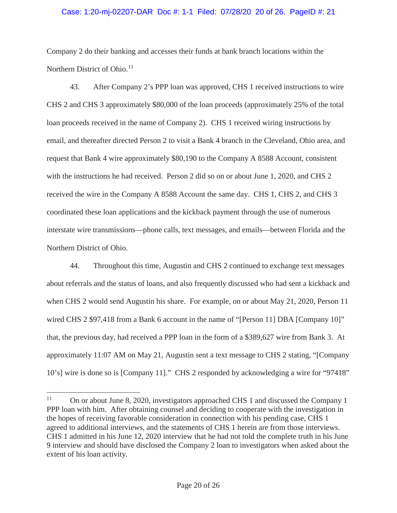# Case: 1:20-mj-02207-DAR Doc #: 1-1 Filed: 07/28/20 20 of 26. PageID #: 21

Company 2 do their banking and accesses their funds at bank branch locations within the Northern District of Ohio. $11$ 

43. After Company 2's PPP loan was approved, CHS 1 received instructions to wire CHS 2 and CHS 3 approximately \$80,000 of the loan proceeds (approximately 25% of the total loan proceeds received in the name of Company 2). CHS 1 received wiring instructions by email, and thereafter directed Person 2 to visit a Bank 4 branch in the Cleveland, Ohio area, and request that Bank 4 wire approximately \$80,190 to the Company A 8588 Account, consistent with the instructions he had received. Person 2 did so on or about June 1, 2020, and CHS 2 received the wire in the Company A 8588 Account the same day. CHS 1, CHS 2, and CHS 3 coordinated these loan applications and the kickback payment through the use of numerous interstate wire transmissions—phone calls, text messages, and emails—between Florida and the Northern District of Ohio.

44. Throughout this time, Augustin and CHS 2 continued to exchange text messages about referrals and the status of loans, and also frequently discussed who had sent a kickback and when CHS 2 would send Augustin his share. For example, on or about May 21, 2020, Person 11 wired CHS 2 \$97,418 from a Bank 6 account in the name of "[Person 11] DBA [Company 10]" that, the previous day, had received a PPP loan in the form of a \$389,627 wire from Bank 3. At approximately 11:07 AM on May 21, Augustin sent a text message to CHS 2 stating, "[Company 10's] wire is done so is [Company 11]." CHS 2 responded by acknowledging a wire for "97418"

<sup>&</sup>lt;sup>11</sup> On or about June 8, 2020, investigators approached CHS 1 and discussed the Company 1 PPP loan with him. After obtaining counsel and deciding to cooperate with the investigation in the hopes of receiving favorable consideration in connection with his pending case, CHS 1 agreed to additional interviews, and the statements of CHS 1 herein are from those interviews. CHS 1 admitted in his June 12, 2020 interview that he had not told the complete truth in his June 9 interview and should have disclosed the Company 2 loan to investigators when asked about the extent of his loan activity.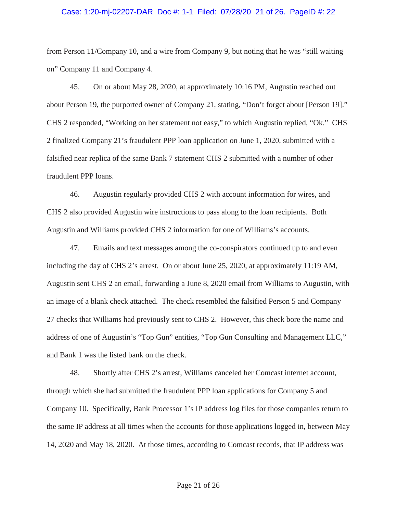#### Case: 1:20-mj-02207-DAR Doc #: 1-1 Filed: 07/28/20 21 of 26. PageID #: 22

from Person 11/Company 10, and a wire from Company 9, but noting that he was "still waiting on" Company 11 and Company 4.

45. On or about May 28, 2020, at approximately 10:16 PM, Augustin reached out about Person 19, the purported owner of Company 21, stating, "Don't forget about [Person 19]." CHS 2 responded, "Working on her statement not easy," to which Augustin replied, "Ok." CHS 2 finalized Company 21's fraudulent PPP loan application on June 1, 2020, submitted with a falsified near replica of the same Bank 7 statement CHS 2 submitted with a number of other fraudulent PPP loans.

46. Augustin regularly provided CHS 2 with account information for wires, and CHS 2 also provided Augustin wire instructions to pass along to the loan recipients. Both Augustin and Williams provided CHS 2 information for one of Williams's accounts.

47. Emails and text messages among the co-conspirators continued up to and even including the day of CHS 2's arrest. On or about June 25, 2020, at approximately 11:19 AM, Augustin sent CHS 2 an email, forwarding a June 8, 2020 email from Williams to Augustin, with an image of a blank check attached. The check resembled the falsified Person 5 and Company 27 checks that Williams had previously sent to CHS 2. However, this check bore the name and address of one of Augustin's "Top Gun" entities, "Top Gun Consulting and Management LLC," and Bank 1 was the listed bank on the check.

48. Shortly after CHS 2's arrest, Williams canceled her Comcast internet account, through which she had submitted the fraudulent PPP loan applications for Company 5 and Company 10. Specifically, Bank Processor 1's IP address log files for those companies return to the same IP address at all times when the accounts for those applications logged in, between May 14, 2020 and May 18, 2020. At those times, according to Comcast records, that IP address was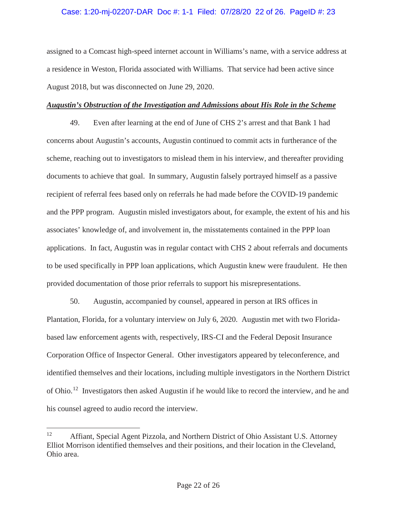# Case: 1:20-mj-02207-DAR Doc #: 1-1 Filed: 07/28/20 22 of 26. PageID #: 23

assigned to a Comcast high-speed internet account in Williams's name, with a service address at a residence in Weston, Florida associated with Williams. That service had been active since August 2018, but was disconnected on June 29, 2020.

# *Augustin's Obstruction of the Investigation and Admissions about His Role in the Scheme*

49. Even after learning at the end of June of CHS 2's arrest and that Bank 1 had concerns about Augustin's accounts, Augustin continued to commit acts in furtherance of the scheme, reaching out to investigators to mislead them in his interview, and thereafter providing documents to achieve that goal. In summary, Augustin falsely portrayed himself as a passive recipient of referral fees based only on referrals he had made before the COVID-19 pandemic and the PPP program. Augustin misled investigators about, for example, the extent of his and his associates' knowledge of, and involvement in, the misstatements contained in the PPP loan applications. In fact, Augustin was in regular contact with CHS 2 about referrals and documents to be used specifically in PPP loan applications, which Augustin knew were fraudulent. He then provided documentation of those prior referrals to support his misrepresentations.

50. Augustin, accompanied by counsel, appeared in person at IRS offices in Plantation, Florida, for a voluntary interview on July 6, 2020. Augustin met with two Floridabased law enforcement agents with, respectively, IRS-CI and the Federal Deposit Insurance Corporation Office of Inspector General. Other investigators appeared by teleconference, and identified themselves and their locations, including multiple investigators in the Northern District of Ohio.<sup>12</sup> Investigators then asked Augustin if he would like to record the interview, and he and his counsel agreed to audio record the interview.

<sup>&</sup>lt;sup>12</sup> Affiant, Special Agent Pizzola, and Northern District of Ohio Assistant U.S. Attorney Elliot Morrison identified themselves and their positions, and their location in the Cleveland, Ohio area.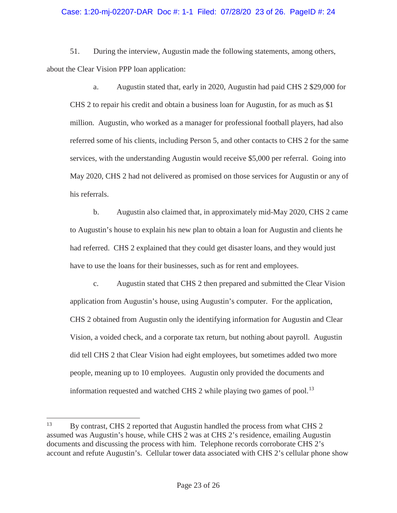# Case: 1:20-mj-02207-DAR Doc #: 1-1 Filed: 07/28/20 23 of 26. PageID #: 24

51. During the interview, Augustin made the following statements, among others, about the Clear Vision PPP loan application:

a. Augustin stated that, early in 2020, Augustin had paid CHS 2 \$29,000 for CHS 2 to repair his credit and obtain a business loan for Augustin, for as much as \$1 million. Augustin, who worked as a manager for professional football players, had also referred some of his clients, including Person 5, and other contacts to CHS 2 for the same services, with the understanding Augustin would receive \$5,000 per referral. Going into May 2020, CHS 2 had not delivered as promised on those services for Augustin or any of his referrals.

b. Augustin also claimed that, in approximately mid-May 2020, CHS 2 came to Augustin's house to explain his new plan to obtain a loan for Augustin and clients he had referred. CHS 2 explained that they could get disaster loans, and they would just have to use the loans for their businesses, such as for rent and employees.

c. Augustin stated that CHS 2 then prepared and submitted the Clear Vision application from Augustin's house, using Augustin's computer. For the application, CHS 2 obtained from Augustin only the identifying information for Augustin and Clear Vision, a voided check, and a corporate tax return, but nothing about payroll. Augustin did tell CHS 2 that Clear Vision had eight employees, but sometimes added two more people, meaning up to 10 employees. Augustin only provided the documents and information requested and watched CHS 2 while playing two games of pool.<sup>13</sup>

<sup>&</sup>lt;sup>13</sup> By contrast, CHS 2 reported that Augustin handled the process from what CHS 2 assumed was Augustin's house, while CHS 2 was at CHS 2's residence, emailing Augustin documents and discussing the process with him. Telephone records corroborate CHS 2's account and refute Augustin's. Cellular tower data associated with CHS 2's cellular phone show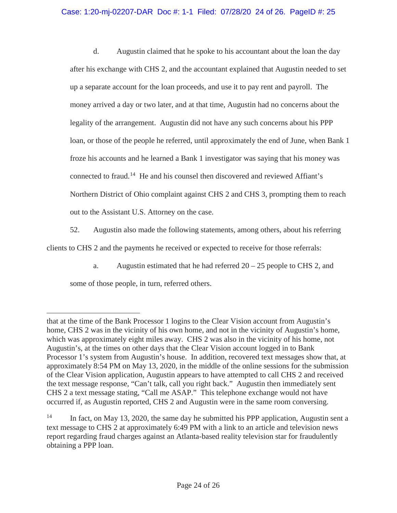# Case: 1:20-mj-02207-DAR Doc #: 1-1 Filed: 07/28/20 24 of 26. PageID #: 25

d. Augustin claimed that he spoke to his accountant about the loan the day after his exchange with CHS 2, and the accountant explained that Augustin needed to set up a separate account for the loan proceeds, and use it to pay rent and payroll. The money arrived a day or two later, and at that time, Augustin had no concerns about the legality of the arrangement. Augustin did not have any such concerns about his PPP loan, or those of the people he referred, until approximately the end of June, when Bank 1 froze his accounts and he learned a Bank 1 investigator was saying that his money was connected to fraud.<sup>14</sup> He and his counsel then discovered and reviewed Affiant's Northern District of Ohio complaint against CHS 2 and CHS 3, prompting them to reach out to the Assistant U.S. Attorney on the case.

52. Augustin also made the following statements, among others, about his referring clients to CHS 2 and the payments he received or expected to receive for those referrals:

a. Augustin estimated that he had referred  $20 - 25$  people to CHS 2, and some of those people, in turn, referred others.

that at the time of the Bank Processor 1 logins to the Clear Vision account from Augustin's home, CHS 2 was in the vicinity of his own home, and not in the vicinity of Augustin's home, which was approximately eight miles away. CHS 2 was also in the vicinity of his home, not Augustin's, at the times on other days that the Clear Vision account logged in to Bank Processor 1's system from Augustin's house. In addition, recovered text messages show that, at approximately 8:54 PM on May 13, 2020, in the middle of the online sessions for the submission of the Clear Vision application, Augustin appears to have attempted to call CHS 2 and received the text message response, "Can't talk, call you right back." Augustin then immediately sent CHS 2 a text message stating, "Call me ASAP." This telephone exchange would not have occurred if, as Augustin reported, CHS 2 and Augustin were in the same room conversing.

<sup>&</sup>lt;sup>14</sup> In fact, on May 13, 2020, the same day he submitted his PPP application, Augustin sent a text message to CHS 2 at approximately 6:49 PM with a link to an article and television news report regarding fraud charges against an Atlanta-based reality television star for fraudulently obtaining a PPP loan.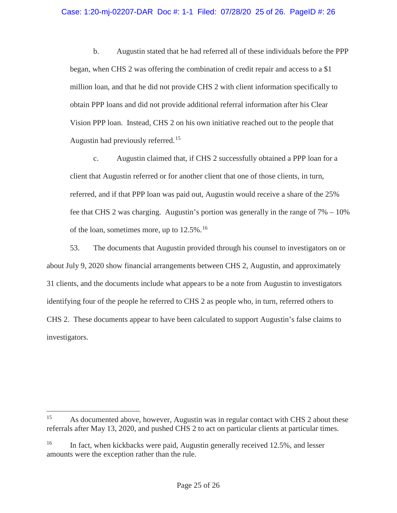# Case: 1:20-mj-02207-DAR Doc #: 1-1 Filed: 07/28/20 25 of 26. PageID #: 26

b. Augustin stated that he had referred all of these individuals before the PPP began, when CHS 2 was offering the combination of credit repair and access to a \$1 million loan, and that he did not provide CHS 2 with client information specifically to obtain PPP loans and did not provide additional referral information after his Clear Vision PPP loan. Instead, CHS 2 on his own initiative reached out to the people that Augustin had previously referred.<sup>15</sup>

c. Augustin claimed that, if CHS 2 successfully obtained a PPP loan for a client that Augustin referred or for another client that one of those clients, in turn, referred, and if that PPP loan was paid out, Augustin would receive a share of the 25% fee that CHS 2 was charging. Augustin's portion was generally in the range of 7% – 10% of the loan, sometimes more, up to  $12.5\%$ .<sup>16</sup>

53. The documents that Augustin provided through his counsel to investigators on or about July 9, 2020 show financial arrangements between CHS 2, Augustin, and approximately 31 clients, and the documents include what appears to be a note from Augustin to investigators identifying four of the people he referred to CHS 2 as people who, in turn, referred others to CHS 2. These documents appear to have been calculated to support Augustin's false claims to investigators.

<sup>&</sup>lt;sup>15</sup> As documented above, however, Augustin was in regular contact with CHS 2 about these referrals after May 13, 2020, and pushed CHS 2 to act on particular clients at particular times.

<sup>&</sup>lt;sup>16</sup> In fact, when kickbacks were paid, Augustin generally received 12.5%, and lesser amounts were the exception rather than the rule.